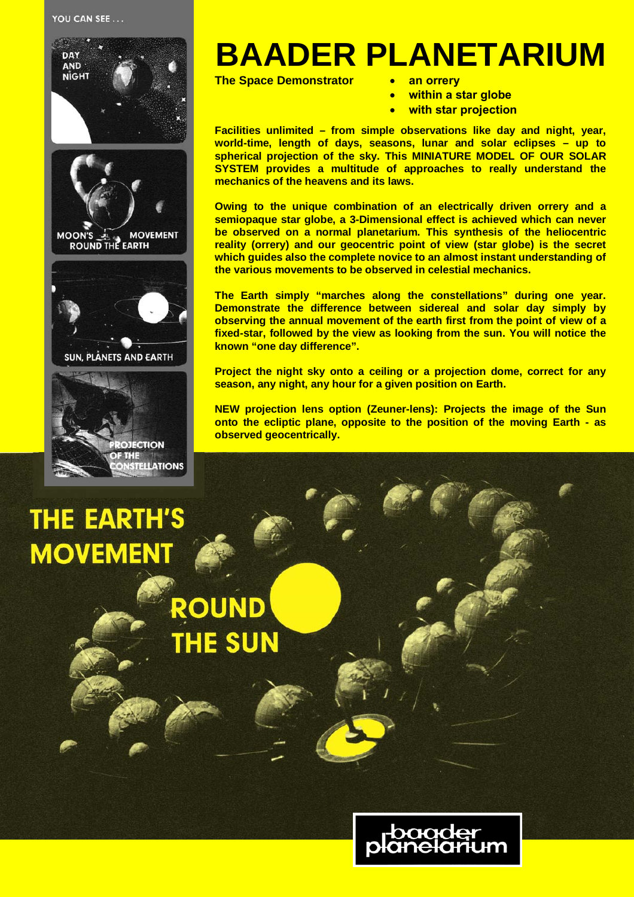

## **THE EARTH'S MOVEMENT**

**STELLATIONS** 

**OUND** 

**THE SUN** 

## **BAADER PLANETARIUM**

**The Space Demonstrator**

- **an orrery**
- **within a star globe**
- **with star projection**

**Facilities unlimited – from simple observations like day and night, year, world-time, length of days, seasons, lunar and solar eclipses – up to spherical projection of the sky. This MINIATURE MODEL OF OUR SOLAR SYSTEM provides a multitude of approaches to really understand the mechanics of the heavens and its laws.**

**Owing to the unique combination of an electrically driven orrery and a semiopaque star globe, a 3-Dimensional effect is achieved which can never be observed on a normal planetarium. This synthesis of the heliocentric reality (orrery) and our geocentric point of view (star globe) is the secret which guides also the complete novice to an almost instant understanding of the various movements to be observed in celestial mechanics.**

**The Earth simply "marches along the constellations" during one year. Demonstrate the difference between sidereal and solar day simply by observing the annual movement of the earth first from the point of view of a fixed-star, followed by the view as looking from the sun. You will notice the known "one day difference".**

**Project the night sky onto a ceiling or a projection dome, correct for any season, any night, any hour for a given position on Earth.**

**NEW projection lens option (Zeuner-lens): Projects the image of the Sun onto the ecliptic plane, opposite to the position of the moving Earth - as observed geocentrically.**